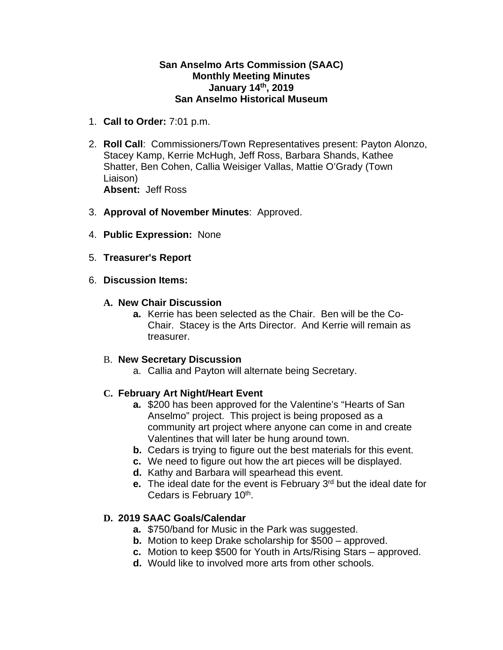#### **San Anselmo Arts Commission (SAAC) Monthly Meeting Minutes January 14th, 2019 San Anselmo Historical Museum**

- 1. **Call to Order:** 7:01 p.m.
- 2. **Roll Call**: Commissioners/Town Representatives present: Payton Alonzo, Stacey Kamp, Kerrie McHugh, Jeff Ross, Barbara Shands, Kathee Shatter, Ben Cohen, Callia Weisiger Vallas, Mattie O'Grady (Town Liaison) **Absent:** Jeff Ross
- 3. **Approval of November Minutes**: Approved.
- 4. **Public Expression:** None
- 5. **Treasurer's Report**
- 6. **Discussion Items:**

#### **A. New Chair Discussion**

**a.** Kerrie has been selected as the Chair. Ben will be the Co-Chair. Stacey is the Arts Director. And Kerrie will remain as treasurer.

#### B. **New Secretary Discussion**

a. Callia and Payton will alternate being Secretary.

## **C. February Art Night/Heart Event**

- **a.** \$200 has been approved for the Valentine's "Hearts of San Anselmo" project. This project is being proposed as a community art project where anyone can come in and create Valentines that will later be hung around town.
- **b.** Cedars is trying to figure out the best materials for this event.
- **c.** We need to figure out how the art pieces will be displayed.
- **d.** Kathy and Barbara will spearhead this event.
- **e.** The ideal date for the event is February 3<sup>rd</sup> but the ideal date for Cedars is February 10<sup>th</sup>.

## **D. 2019 SAAC Goals/Calendar**

- **a.** \$750/band for Music in the Park was suggested.
- **b.** Motion to keep Drake scholarship for \$500 approved.
- **c.** Motion to keep \$500 for Youth in Arts/Rising Stars approved.
- **d.** Would like to involved more arts from other schools.